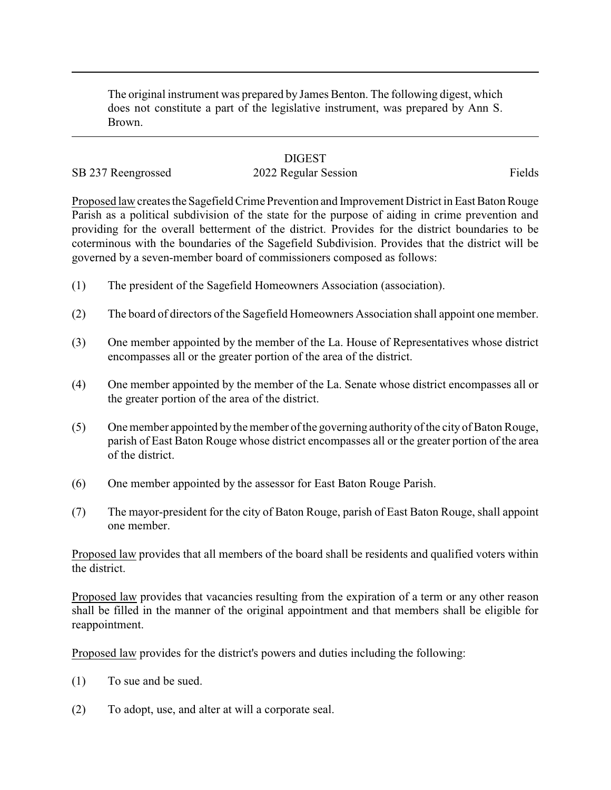The original instrument was prepared by James Benton. The following digest, which does not constitute a part of the legislative instrument, was prepared by Ann S. Brown.

# **DIGEST**

# SB 237 Reengrossed 2022 Regular Session Fields

Proposed law creates the Sagefield Crime Prevention and Improvement District in East Baton Rouge Parish as a political subdivision of the state for the purpose of aiding in crime prevention and providing for the overall betterment of the district. Provides for the district boundaries to be coterminous with the boundaries of the Sagefield Subdivision. Provides that the district will be governed by a seven-member board of commissioners composed as follows:

- (1) The president of the Sagefield Homeowners Association (association).
- (2) The board of directors of the Sagefield Homeowners Association shall appoint one member.
- (3) One member appointed by the member of the La. House of Representatives whose district encompasses all or the greater portion of the area of the district.
- (4) One member appointed by the member of the La. Senate whose district encompasses all or the greater portion of the area of the district.
- (5) One member appointed bythe member of the governing authority of the city of Baton Rouge, parish of East Baton Rouge whose district encompasses all or the greater portion of the area of the district.
- (6) One member appointed by the assessor for East Baton Rouge Parish.
- (7) The mayor-president for the city of Baton Rouge, parish of East Baton Rouge, shall appoint one member.

Proposed law provides that all members of the board shall be residents and qualified voters within the district.

Proposed law provides that vacancies resulting from the expiration of a term or any other reason shall be filled in the manner of the original appointment and that members shall be eligible for reappointment.

Proposed law provides for the district's powers and duties including the following:

- (1) To sue and be sued.
- (2) To adopt, use, and alter at will a corporate seal.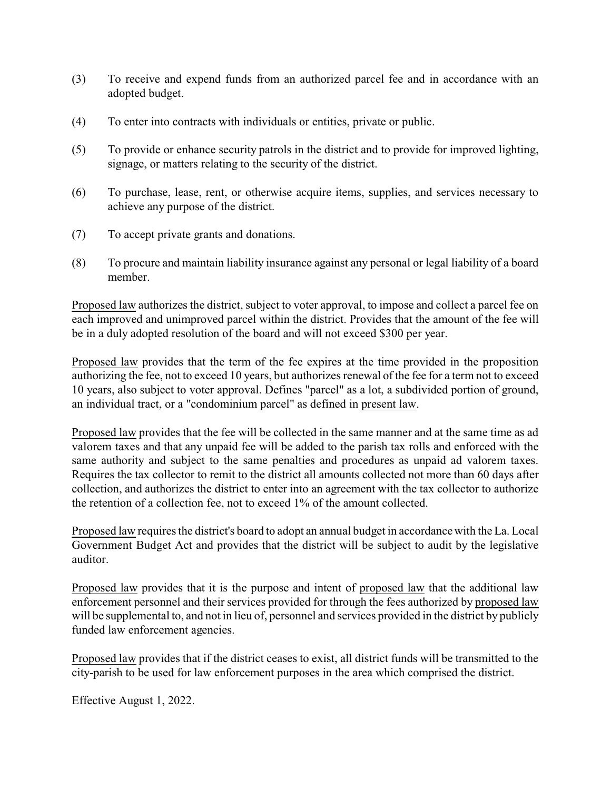- (3) To receive and expend funds from an authorized parcel fee and in accordance with an adopted budget.
- (4) To enter into contracts with individuals or entities, private or public.
- (5) To provide or enhance security patrols in the district and to provide for improved lighting, signage, or matters relating to the security of the district.
- (6) To purchase, lease, rent, or otherwise acquire items, supplies, and services necessary to achieve any purpose of the district.
- (7) To accept private grants and donations.
- (8) To procure and maintain liability insurance against any personal or legal liability of a board member.

Proposed law authorizes the district, subject to voter approval, to impose and collect a parcel fee on each improved and unimproved parcel within the district. Provides that the amount of the fee will be in a duly adopted resolution of the board and will not exceed \$300 per year.

Proposed law provides that the term of the fee expires at the time provided in the proposition authorizing the fee, not to exceed 10 years, but authorizes renewal of the fee for a term not to exceed 10 years, also subject to voter approval. Defines "parcel" as a lot, a subdivided portion of ground, an individual tract, or a "condominium parcel" as defined in present law.

Proposed law provides that the fee will be collected in the same manner and at the same time as ad valorem taxes and that any unpaid fee will be added to the parish tax rolls and enforced with the same authority and subject to the same penalties and procedures as unpaid ad valorem taxes. Requires the tax collector to remit to the district all amounts collected not more than 60 days after collection, and authorizes the district to enter into an agreement with the tax collector to authorize the retention of a collection fee, not to exceed 1% of the amount collected.

Proposed law requires the district's board to adopt an annual budget in accordance with the La. Local Government Budget Act and provides that the district will be subject to audit by the legislative auditor.

Proposed law provides that it is the purpose and intent of proposed law that the additional law enforcement personnel and their services provided for through the fees authorized by proposed law will be supplemental to, and not in lieu of, personnel and services provided in the district by publicly funded law enforcement agencies.

Proposed law provides that if the district ceases to exist, all district funds will be transmitted to the city-parish to be used for law enforcement purposes in the area which comprised the district.

Effective August 1, 2022.